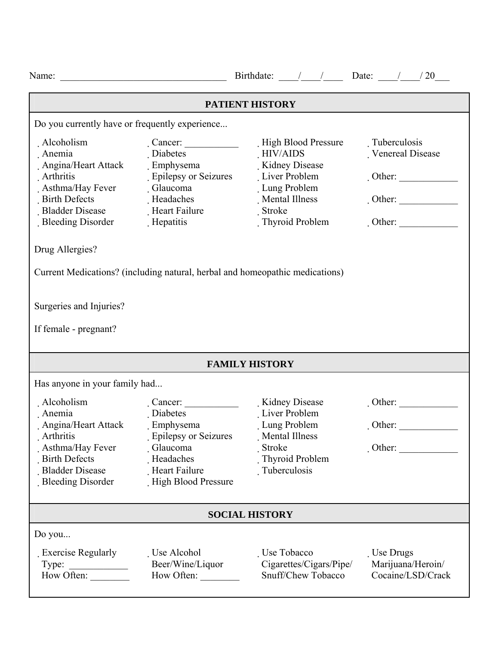|                                                                                                                                                                          |                                                                                                                    | Birthdate: $\frac{1}{\sqrt{20}}$ Date: $\frac{1}{\sqrt{20}}$                                                                                                                                                      |                                                                                        |  |  |
|--------------------------------------------------------------------------------------------------------------------------------------------------------------------------|--------------------------------------------------------------------------------------------------------------------|-------------------------------------------------------------------------------------------------------------------------------------------------------------------------------------------------------------------|----------------------------------------------------------------------------------------|--|--|
| PATIENT HISTORY                                                                                                                                                          |                                                                                                                    |                                                                                                                                                                                                                   |                                                                                        |  |  |
| Do you currently have or frequently experience                                                                                                                           |                                                                                                                    |                                                                                                                                                                                                                   |                                                                                        |  |  |
| Alcoholism<br>Anemia<br>Angina/Heart Attack<br>Arthritis<br>. Asthma/Hay Fever<br><b>Birth Defects</b><br><b>Bladder Disease</b><br>Bleeding Disorder<br>Drug Allergies? | Diabetes<br>. Emphysema<br>. Epilepsy or Seizures<br>Glaucoma<br>Headaches<br>Heart Failure<br>Hepatitis           | High Blood Pressure<br>HIV/AIDS<br>Kidney Disease<br>Liver Problem<br>Lung Problem<br>Mental Illness<br>Stroke<br>Thyroid Problem<br>Current Medications? (including natural, herbal and homeopathic medications) | Tuberculosis<br>Venereal Disease<br>$\cdot$ Other:<br>$\cdot$ Other:<br>$\cdot$ Other: |  |  |
| Surgeries and Injuries?<br>If female - pregnant?                                                                                                                         |                                                                                                                    |                                                                                                                                                                                                                   |                                                                                        |  |  |
| <b>FAMILY HISTORY</b>                                                                                                                                                    |                                                                                                                    |                                                                                                                                                                                                                   |                                                                                        |  |  |
| Has anyone in your family had                                                                                                                                            |                                                                                                                    |                                                                                                                                                                                                                   |                                                                                        |  |  |
| Alcoholism<br>Anemia<br>Angina/Heart Attack<br>Arthritis<br>Asthma/Hay Fever<br><b>Birth Defects</b><br><b>Bladder Disease</b><br>Bleeding Disorder                      | Diabetes<br>. Emphysema<br>. Epilepsy or Seizures<br>Glaucoma<br>Headaches<br>Heart Failure<br>High Blood Pressure | Liver Problem<br>Lung Problem<br>Mental Illness<br>Stroke<br>Thyroid Problem<br>Tuberculosis                                                                                                                      | $\cdot$ Other:<br>Other:<br>$\cdot$ Other:                                             |  |  |
| <b>SOCIAL HISTORY</b>                                                                                                                                                    |                                                                                                                    |                                                                                                                                                                                                                   |                                                                                        |  |  |
| Do you<br>Exercise Regularly<br>Type: $\qquad \qquad$<br>How Often:                                                                                                      | Use Alcohol<br>Beer/Wine/Liquor<br>How Often:                                                                      | Use Tobacco<br>Cigarettes/Cigars/Pipe/<br>Snuff/Chew Tobacco                                                                                                                                                      | . Use Drugs<br>Marijuana/Heroin/<br>Cocaine/LSD/Crack                                  |  |  |